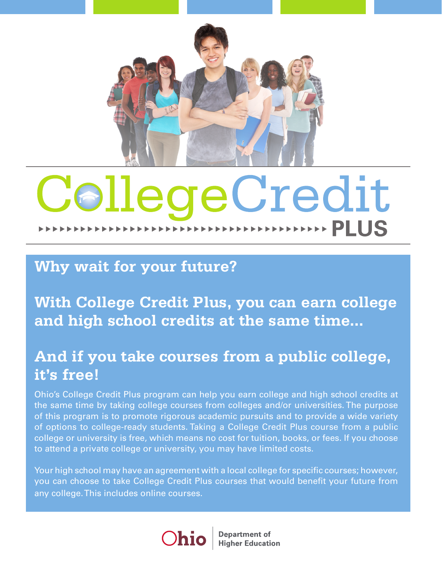

# CollegeCredit

# **Why wait for your future?**

**With College Credit Plus, you can earn college and high school credits at the same time...**

# **And if you take courses from a public college, it's free!**

Ohio's College Credit Plus program can help you earn college and high school credits at the same time by taking college courses from colleges and/or universities. The purpose of this program is to promote rigorous academic pursuits and to provide a wide variety of options to college-ready students. Taking a College Credit Plus course from a public college or university is free, which means no cost for tuition, books, or fees. If you choose to attend a private college or university, you may have limited costs.

Your high school may have an agreement with a local college for specific courses; however, you can choose to take College Credit Plus courses that would benefit your future from any college. This includes online courses.



**Department of Higher Education**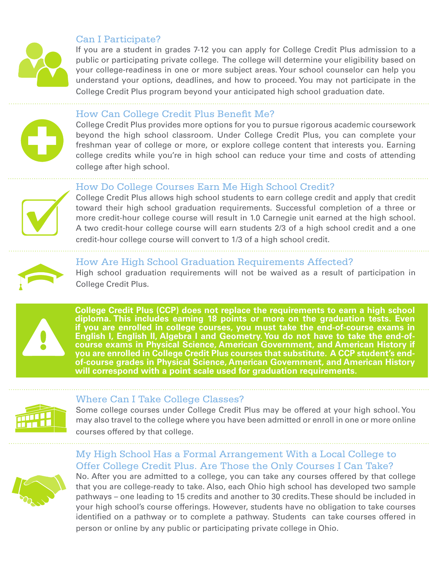

#### Can I Participate?

If you are a student in grades 7-12 you can apply for College Credit Plus admission to a public or participating private college. The college will determine your eligibility based on your college-readiness in one or more subject areas. Your school counselor can help you understand your options, deadlines, and how to proceed. You may not participate in the College Credit Plus program beyond your anticipated high school graduation date.



#### How Can College Credit Plus Benefit Me?

College Credit Plus provides more options for you to pursue rigorous academic coursework beyond the high school classroom. Under College Credit Plus, you can complete your freshman year of college or more, or explore college content that interests you. Earning college credits while you're in high school can reduce your time and costs of attending college after high school.

#### How Do College Courses Earn Me High School Credit?

College Credit Plus allows high school students to earn college credit and apply that credit toward their high school graduation requirements. Successful completion of a three or more credit-hour college course will result in 1.0 Carnegie unit earned at the high school. A two credit-hour college course will earn students 2/3 of a high school credit and a one credit-hour college course will convert to 1/3 of a high school credit.



#### How Are High School Graduation Requirements Affected?

High school graduation requirements will not be waived as a result of participation in College Credit Plus.



**College Credit Plus (CCP) does not replace the requirements to earn a high school diploma. This includes earning 18 points or more on the graduation tests. Even if you are enrolled in college courses, you must take the end-of-course exams in English I, English II, Algebra I and Geometry. You do not have to take the end-ofcourse exams in Physical Science, American Government, and American History if you are enrolled in College Credit Plus courses that substitute. A CCP student's endof-course grades in Physical Science, American Government, and American History will correspond with a point scale used for graduation requirements.**



#### Where Can I Take College Classes?

Some college courses under College Credit Plus may be offered at your high school. You may also travel to the college where you have been admitted or enroll in one or more online courses offered by that college.

### My High School Has a Formal Arrangement With a Local College to Offer College Credit Plus. Are Those the Only Courses I Can Take?



No. After you are admitted to a college, you can take any courses offered by that college that you are college-ready to take. Also, each Ohio high school has developed two sample pathways – one leading to 15 credits and another to 30 credits. These should be included in your high school's course offerings. However, students have no obligation to take courses identified on a pathway or to complete a pathway. Students can take courses offered in person or online by any public or participating private college in Ohio.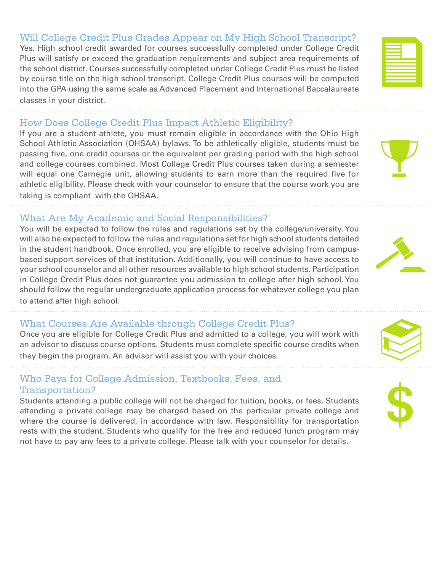#### Will College Credit Plus Grades Appear on My High School Transcript?

Yes. High school credit awarded for courses successfully completed under College Credit Plus will satisfy or exceed the graduation requirements and subject area requirements of the school district. Courses successfully completed under College Credit Plus must be listed by course title on the high school transcript. College Credit Plus courses will be computed into the GPA using the same scale as Advanced Placement and International Baccalaureate classes in your district.

#### How Does College Credit Plus Impact Athletic Eligibility?

If you are a student athlete, you must remain eligible in accordance with the Ohio High School Athletic Association (OHSAA) bylaws. To be athletically eligible, students must be passing five, one credit courses or the equivalent per grading period with the high school and college courses combined. Most College Credit Plus courses taken during a semester will equal one Carnegie unit, allowing students to earn more than the required five for athletic eligibility. Please check with your counselor to ensure that the course work you are taking is compliant with the OHSAA.

### What Are My Academic and Social Responsibilities?

You will be expected to follow the rules and regulations set by the college/university. You will also be expected to follow the rules and regulations set for high school students detailed in the student handbook. Once enrolled, you are eligible to receive advising from campusbased support services of that institution. Additionally, you will continue to have access to your school counselor and all other resources available to high school students. Participation in College Credit Plus does not guarantee you admission to college after high school. You should follow the regular undergraduate application process for whatever college you plan to attend after high school.

#### What Courses Are Available through College Credit Plus?

Once you are eligible for College Credit Plus and admitted to a college, you will work with an advisor to discuss course options. Students must complete specific course credits when they begin the program. An advisor will assist you with your choices.

#### Who Pays for College Admission, Textbooks, Fees, and Transportation?

Students attending a public college will not be charged for tuition, books, or fees. Students attending a private college may be charged based on the particular private college and where the course is delivered, in accordance with law. Responsibility for transportation rests with the student. Students who qualify for the free and reduced lunch program may not have to pay any fees to a private college. Please talk with your counselor for details.